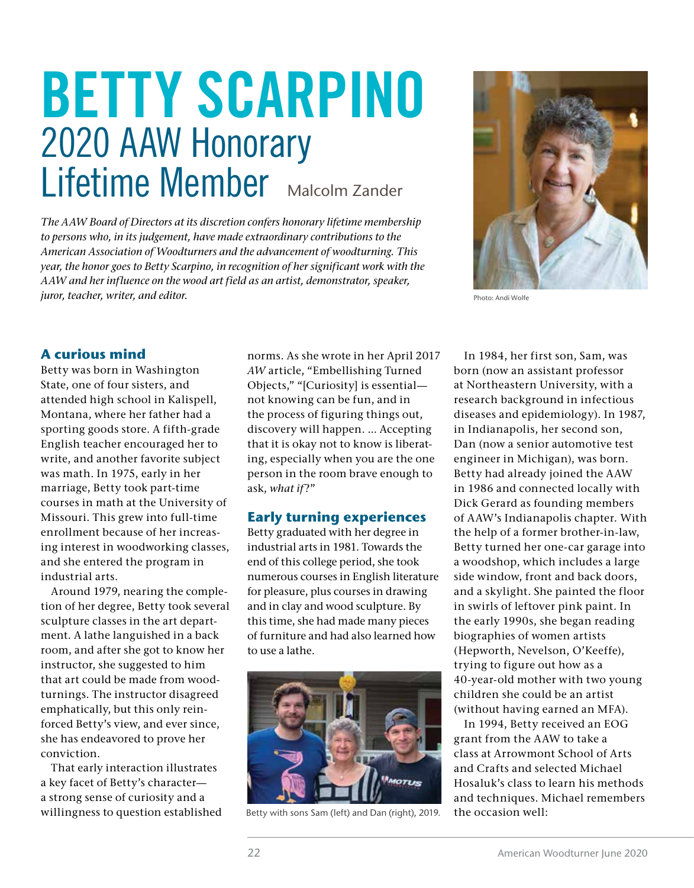# BETTY SCARPINO 2020 AAW Honorary Lifetime Member Malcolm Zander

*The AAW Board of Directors at its discretion confers honorary lifetime membership to persons who, in its judgement, have made extraordinary contributions to the American Association of Woodturners and the advancement of woodturning. This year, the honor goes to Betty Scarpino, in recognition of her significant work with the AAW and her influence on the wood art field as an artist, demonstrator, speaker, juror, teacher, writer, and editor.* Photo: Andi Wolfe



#### **A curious mind**

Betty was born in Washington State, one of four sisters, and attended high school in Kalispell, Montana, where her father had a sporting goods store. A fifth-grade English teacher encouraged her to write, and another favorite subject was math. In 1975, early in her marriage, Betty took part-time courses in math at the University of Missouri. This grew into full-time enrollment because of her increasing interest in woodworking classes, and she entered the program in industrial arts.

Around 1979, nearing the completion of her degree, Betty took several sculpture classes in the art department. A lathe languished in a back room, and after she got to know her instructor, she suggested to him that art could be made from woodturnings. The instructor disagreed emphatically, but this only reinforced Betty's view, and ever since, she has endeavored to prove her conviction.

That early interaction illustrates a key facet of Betty's character a strong sense of curiosity and a willingness to question established norms. As she wrote in her April 2017 *AW* article, "Embellishing Turned Objects," "[Curiosity] is essential not knowing can be fun, and in the process of figuring things out, discovery will happen. … Accepting that it is okay not to know is liberating, especially when you are the one person in the room brave enough to ask, what if?"

#### **Early turning experiences**

Betty graduated with her degree in industrial arts in 1981. Towards the end of this college period, she took numerous courses in English literature for pleasure, plus courses in drawing and in clay and wood sculpture. By this time, she had made many pieces of furniture and had also learned how to use a lathe.



Betty with sons Sam (left) and Dan (right), 2019.

In 1984, her first son, Sam, was born (now an assistant professor at Northeastern University, with a research background in infectious diseases and epidemiology). In 1987, in Indianapolis, her second son, Dan (now a senior automotive test engineer in Michigan), was born. Betty had already joined the AAW in 1986 and connected locally with Dick Gerard as founding members of AAW's Indianapolis chapter. With the help of a former brother-in-law, Betty turned her one-car garage into a woodshop, which includes a large side window, front and back doors, and a skylight. She painted the floor in swirls of leftover pink paint. In the early 1990s, she began reading biographies of women artists (Hepworth, Nevelson, O'Keeffe), trying to figure out how as a 40-year-old mother with two young children she could be an artist (without having earned an MFA).

In 1994, Betty received an EOG grant from the AAW to take a class at Arrowmont School of Arts and Crafts and selected Michael Hosaluk's class to learn his methods and techniques. Michael remembers the occasion well: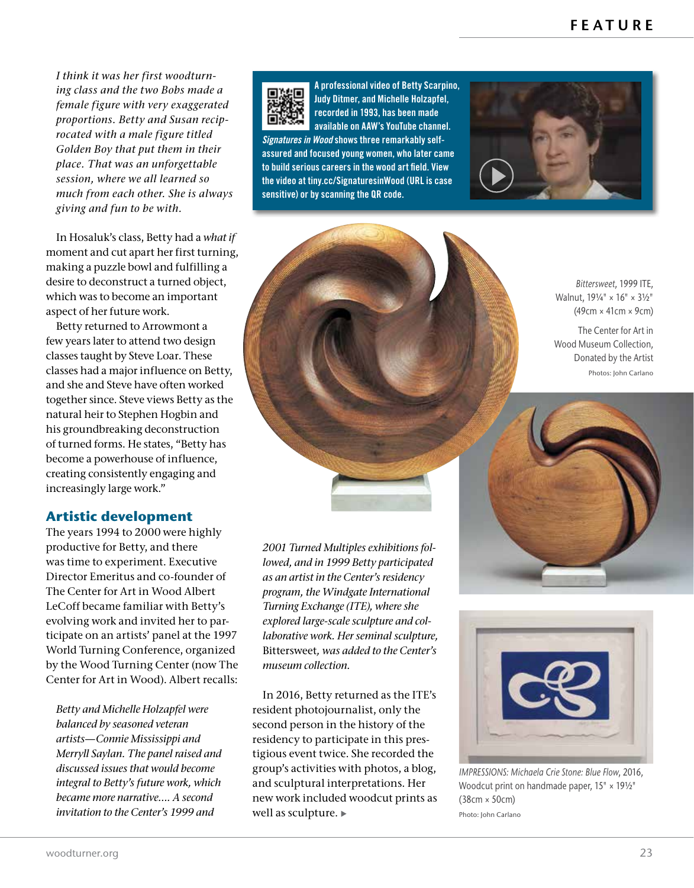*I think it was her first woodturning class and the two Bobs made a female figure with very exaggerated proportions. Betty and Susan reciprocated with a male figure titled Golden Boy that put them in their place. That was an unforgettable session, where we all learned so much from each other. She is always giving and fun to be with.*

In Hosaluk's class, Betty had a *what if*  moment and cut apart her first turning, making a puzzle bowl and fulfilling a desire to deconstruct a turned object, which was to become an important aspect of her future work.

Betty returned to Arrowmont a few years later to attend two design classes taught by Steve Loar. These classes had a major influence on Betty, and she and Steve have often worked together since. Steve views Betty as the natural heir to Stephen Hogbin and his groundbreaking deconstruction of turned forms. He states, "Betty has become a powerhouse of influence, creating consistently engaging and increasingly large work."

# **Artistic development**

The years 1994 to 2000 were highly productive for Betty, and there was time to experiment. Executive Director Emeritus and co-founder of The Center for Art in Wood Albert LeCoff became familiar with Betty's evolving work and invited her to participate on an artists' panel at the 1997 World Turning Conference, organized by the Wood Turning Center (now The Center for Art in Wood). Albert recalls:

*Betty and Michelle Holzapfel were balanced by seasoned veteran artists—Connie Mississippi and Merryll Saylan. The panel raised and discussed issues that would become integral to Betty's future work, which became more narrative…. A second invitation to the Center's 1999 and* 



A professional video of Betty Scarpino, Judy Ditmer, and Michelle Holzapfel, recorded in 1993, has been made available on AAW's YouTube channel. *Signatures in Wood* shows three remarkably self-

assured and focused young women, who later came to build serious careers in the wood art field. View the video at tiny.cc/SignaturesinWood (URL is case sensitive) or by scanning the QR code.



*Bittersweet*, 1999 ITE, Walnut, 19¼" × 16" × 3½" (49cm × 41cm × 9cm)

The Center for Art in Wood Museum Collection, Donated by the Artist Photos: John Carlano

*2001 Turned Multiples exhibitions followed, and in 1999 Betty participated as an artist in the Center's residency program, the Windgate International Turning Exchange (ITE), where she explored large-scale sculpture and collaborative work. Her seminal sculpture,*  Bittersweet*, was added to the Center's museum collection.*

In 2016, Betty returned as the ITE's resident photojournalist, only the second person in the history of the residency to participate in this prestigious event twice. She recorded the group's activities with photos, a blog, and sculptural interpretations. Her new work included woodcut prints as well as sculpture.





*IMPRESSIONS: Michaela Crie Stone: Blue Flow*, 2016, Woodcut print on handmade paper, 15" × 191/2" (38cm × 50cm) Photo: John Carlano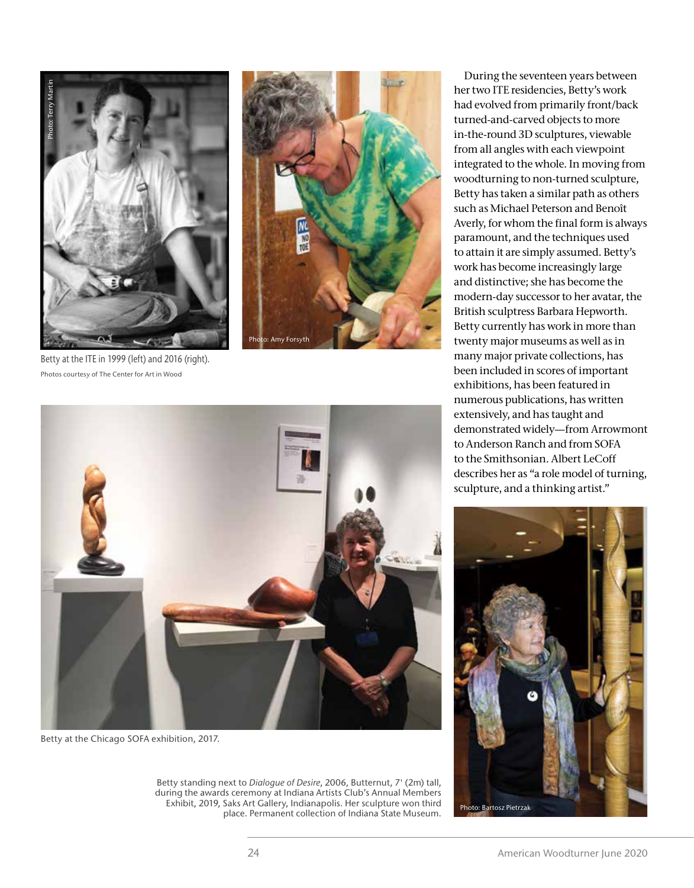



Betty at the ITE in 1999 (left) and 2016 (right).



Betty at the Chicago SOFA exhibition, 2017.

Betty standing next to *Dialogue of Desire*, 2006, Butternut, 7' (2m) tall, during the awards ceremony at Indiana Artists Club's Annual Members Exhibit, 2019, Saks Art Gallery, Indianapolis. Her sculpture won third place. Permanent collection of Indiana State Museum.

During the seventeen years between her two ITE residencies, Betty's work had evolved from primarily front/back turned-and-carved objects to more in-the-round 3D sculptures, viewable from all angles with each viewpoint integrated to the whole. In moving from woodturning to non-turned sculpture, Betty has taken a similar path as others such as Michael Peterson and Benoît Averly, for whom the final form is always paramount, and the techniques used to attain it are simply assumed. Betty's work has become increasingly large and distinctive; she has become the modern-day successor to her avatar, the British sculptress Barbara Hepworth. Betty currently has work in more than twenty major museums as well as in many major private collections, has been included in scores of important exhibitions, has been featured in numerous publications, has written extensively, and has taught and demonstrated widely—from Arrowmont to Anderson Ranch and from SOFA to the Smithsonian. Albert LeCoff describes her as "a role model of turning, sculpture, and a thinking artist."

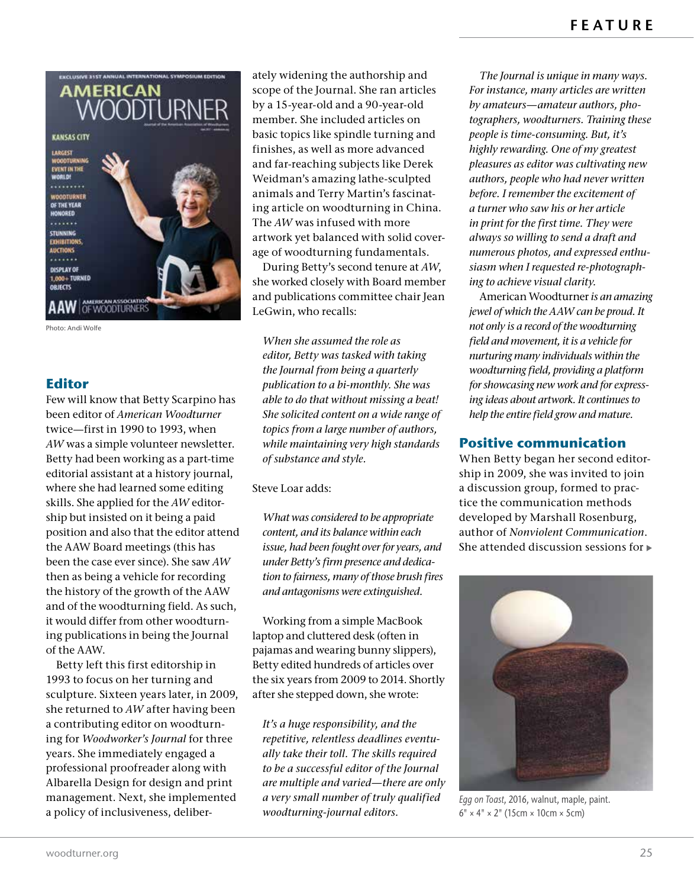

Photo: Andi Wolfe

#### **Editor**

Few will know that Betty Scarpino has been editor of *American Woodturner*  twice—first in 1990 to 1993, when *AW* was a simple volunteer newsletter. Betty had been working as a part-time editorial assistant at a history journal, where she had learned some editing skills. She applied for the *AW* editorship but insisted on it being a paid position and also that the editor attend the AAW Board meetings (this has been the case ever since). She saw *AW* then as being a vehicle for recording the history of the growth of the AAW and of the woodturning field. As such, it would differ from other woodturning publications in being the Journal of the AAW.

Betty left this first editorship in 1993 to focus on her turning and sculpture. Sixteen years later, in 2009, she returned to *AW* after having been a contributing editor on woodturning for *Woodworker's Journal* for three years. She immediately engaged a professional proofreader along with Albarella Design for design and print management. Next, she implemented a policy of inclusiveness, deliberately widening the authorship and scope of the Journal. She ran articles by a 15-year-old and a 90-year-old member. She included articles on basic topics like spindle turning and finishes, as well as more advanced and far-reaching subjects like Derek Weidman's amazing lathe-sculpted animals and Terry Martin's fascinating article on woodturning in China. The *AW* was infused with more artwork yet balanced with solid coverage of woodturning fundamentals.

During Betty's second tenure at *AW*, she worked closely with Board member and publications committee chair Jean LeGwin, who recalls:

*When she assumed the role as editor, Betty was tasked with taking the Journal from being a quarterly publication to a bi-monthly. She was able to do that without missing a beat! She solicited content on a wide range of topics from a large number of authors, while maintaining very high standards of substance and style.*

Steve Loar adds:

*What was considered to be appropriate content, and its balance within each issue, had been fought over for years, and under Betty's firm presence and dedication to fairness, many of those brush fires and antagonisms were extinguished.*

Working from a simple MacBook laptop and cluttered desk (often in pajamas and wearing bunny slippers), Betty edited hundreds of articles over the six years from 2009 to 2014. Shortly after she stepped down, she wrote:

*It's a huge responsibility, and the repetitive, relentless deadlines eventually take their toll. The skills required to be a successful editor of the Journal are multiple and varied—there are only a very small number of truly qualified woodturning-journal editors.*

*The Journal is unique in many ways. For instance, many articles are written by amateurs—amateur authors, photographers, woodturners. Training these people is time-consuming. But, it's highly rewarding. One of my greatest pleasures as editor was cultivating new authors, people who had never written before. I remember the excitement of a turner who saw his or her article in print for the first time. They were always so willing to send a draft and numerous photos, and expressed enthusiasm when I requested re-photographing to achieve visual clarity.*

American Woodturner *is an amazing jewel of which the AAW can be proud. It not only is a record of the woodturning field and movement, it is a vehicle for nurturing many individuals within the woodturning field, providing a platform for showcasing new work and for expressing ideas about artwork. It continues to help the entire field grow and mature.*

#### **Positive communication**

When Betty began her second editorship in 2009, she was invited to join a discussion group, formed to practice the communication methods developed by Marshall Rosenburg, author of *Nonviolent Communication*. She attended discussion sessions for



*Egg on Toast*, 2016, walnut, maple, paint.  $6" \times 4" \times 2"$  (15cm  $\times$  10cm  $\times$  5cm)